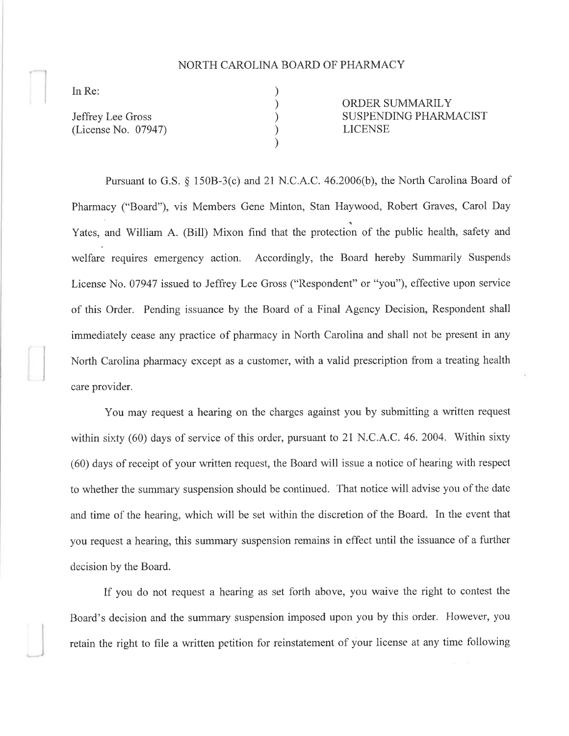## NORTH CAROLINA BOARD OF PHARMACY

) ) ) ) )

In Re:

Jeffrey Lee Gross (License No. 07947) ORDER SUMMARILY SUSPENDING PHARMACIST LICENSE

Pursuant to G.S. \$ 1508-3(c) and 2l N.C.A.C. 46.2006(b), the North Carolina Board of Pharmacy ("Board"), vis Members Gene Minton, Stan Haywood, Robert Graves, Carol Day Yates, and William A. (Bill) Mixon find that the protection of the public health, safety and welfare requires emergency action. Accordingly, the Board hereby Summarily Suspends License No. 07947 issued to Jeffrey Lee Gross ("Respondent" or "you"), effective upon service of this Order. Pending issuance by the Board of a Final Agency Decision, Respondent shall immediately cease any practice of pharmacy in North Carolina and shall not be present in any North Carolina pharmacy except as a customer, with a valid prescription fronr a treating health care provider.

You may request a hearing on the charges against you by submitting a written request within sixty  $(60)$  days of service of this order, pursuant to 21 N.C.A.C. 46. 2004. Within sixty (60) days of receipt of your written request, the Board will issue a notice of hearing with respect to whether the summary suspension should be continued. That notice will advise you of the date and time of the hearing, which will be set within the discretion of the Board. In the event that you request a hearing, this summary suspension remains in effect until the issuance of a further decision by the Board.

If you do not request a hearing as set forth above, you waive the right to contest the Board's decision and the summary suspension imposed upon you by this order. However, you retain the right to file a written petition for reinstatement of your license at any time following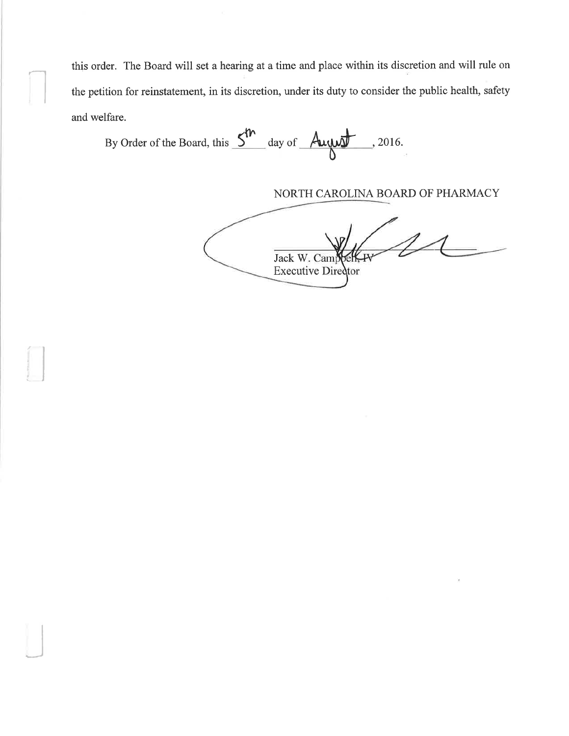this order. The Board will set a hearing at a time and place within its discretion and will rule on the petition for reinstatement, in its discretion, under its duty to consider the public health, safety and welfare.

By Order of the Board, this  $5^m$  day of August . 2016.

NORTH CAROLINA BOARD OF PHARMACY

Jack W. Campbe Executive Director